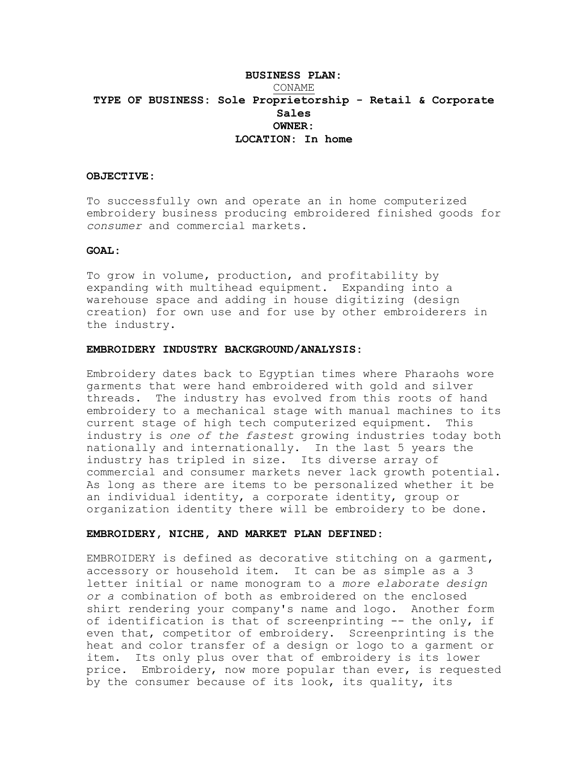# **BUSINESS PLAN:** CONAME **TYPE OF BUSINESS: Sole Proprietorship - Retail & Corporate Sales OWNER: LOCATION: In home**

#### **OBJECTIVE:**

To successfully own and operate an in home computerized embroidery business producing embroidered finished goods for *consumer* and commercial markets.

### **GOAT.:**

To grow in volume, production, and profitability by expanding with multihead equipment. Expanding into a warehouse space and adding in house digitizing (design creation) for own use and for use by other embroiderers in the industry.

## **EMBROIDERY INDUSTRY BACKGROUND/ANALYSIS:**

Embroidery dates back to Egyptian times where Pharaohs wore garments that were hand embroidered with gold and silver threads. The industry has evolved from this roots of hand embroidery to a mechanical stage with manual machines to its current stage of high tech computerized equipment. This industry is *one of the fastest* growing industries today both nationally and internationally. In the last 5 years the industry has tripled in size. Its diverse array of commercial and consumer markets never lack growth potential. As long as there are items to be personalized whether it be an individual identity, a corporate identity, group or organization identity there will be embroidery to be done.

## **EMBROIDERY, NICHE, AND MARKET PLAN DEFINED:**

EMBROIDERY is defined as decorative stitching on a garment, accessory or household item. It can be as simple as a 3 letter initial or name monogram to a *more elaborate design or a* combination of both as embroidered on the enclosed shirt rendering your company's name and logo. Another form of identification is that of screenprinting -- the only, if even that, competitor of embroidery. Screenprinting is the heat and color transfer of a design or logo to a garment or item. Its only plus over that of embroidery is its lower price. Embroidery, now more popular than ever, is requested by the consumer because of its look, its quality, its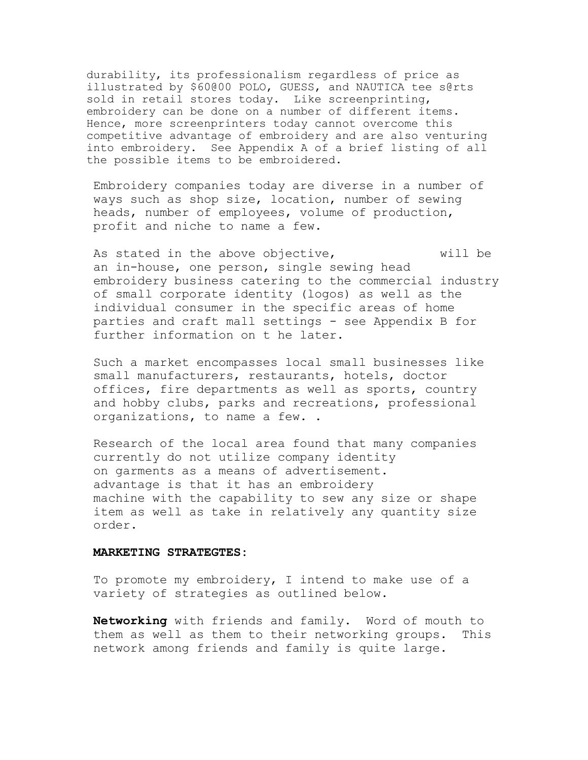durability, its professionalism regardless of price as illustrated by \$60@00 POLO, GUESS, and NAUTICA tee s@rts sold in retail stores today. Like screenprinting, embroidery can be done on a number of different items. Hence, more screenprinters today cannot overcome this competitive advantage of embroidery and are also venturing into embroidery. See Appendix A of a brief listing of all the possible items to be embroidered.

Embroidery companies today are diverse in a number of ways such as shop size, location, number of sewing heads, number of employees, volume of production, profit and niche to name a few.

As stated in the above objective, will be an in-house, one person, single sewing head embroidery business catering to the commercial industry of small corporate identity (logos) as well as the individual consumer in the specific areas of home parties and craft mall settings - see Appendix B for further information on t he later.

Such a market encompasses local small businesses like small manufacturers, restaurants, hotels, doctor offices, fire departments as well as sports, country and hobby clubs, parks and recreations, professional organizations, to name a few. .

Research of the local area found that many companies currently do not utilize company identity on garments as a means of advertisement. advantage is that it has an embroidery machine with the capability to sew any size or shape item as well as take in relatively any quantity size order.

#### **MARKETING STRATEGTES:**

To promote my embroidery, I intend to make use of a variety of strategies as outlined below.

**Networking** with friends and family. Word of mouth to them as well as them to their networking groups. This network among friends and family is quite large.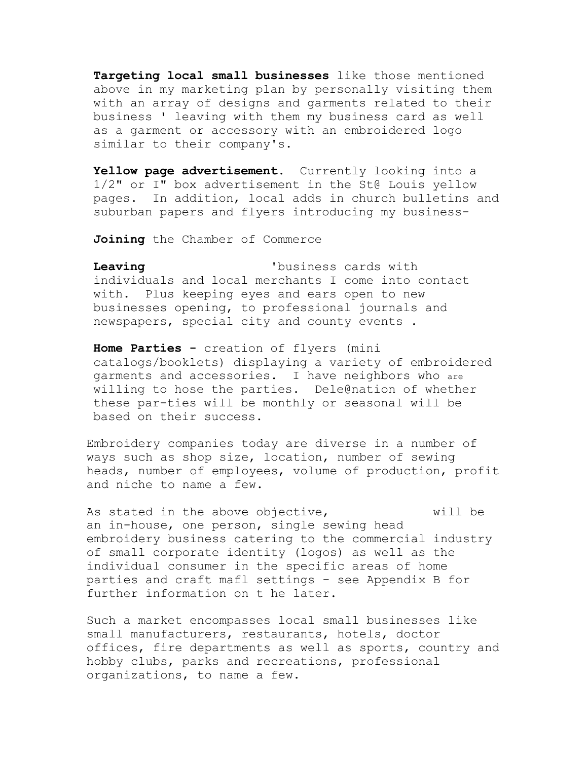**Targeting local small businesses** like those mentioned above in my marketing plan by personally visiting them with an array of designs and garments related to their business ' leaving with them my business card as well as a garment or accessory with an embroidered logo similar to their company's.

Yellow page advertisement. Currently looking into a 1/2" or I" box advertisement in the St@ Louis yellow pages. In addition, local adds in church bulletins and suburban papers and flyers introducing my business-

**Joining** the Chamber of Commerce

**Leaving** 'business cards with individuals and local merchants I come into contact with. Plus keeping eyes and ears open to new businesses opening, to professional journals and newspapers, special city and county events .

**Home Parties -** creation of flyers (mini catalogs/booklets) displaying a variety of embroidered garments and accessories. I have neighbors who are willing to hose the parties. Dele@nation of whether these par-ties will be monthly or seasonal will be based on their success.

Embroidery companies today are diverse in a number of ways such as shop size, location, number of sewing heads, number of employees, volume of production, profit and niche to name a few.

As stated in the above objective, will be an in-house, one person, single sewing head embroidery business catering to the commercial industry of small corporate identity (logos) as well as the individual consumer in the specific areas of home parties and craft mafl settings - see Appendix B for further information on t he later.

Such a market encompasses local small businesses like small manufacturers, restaurants, hotels, doctor offices, fire departments as well as sports, country and hobby clubs, parks and recreations, professional organizations, to name a few.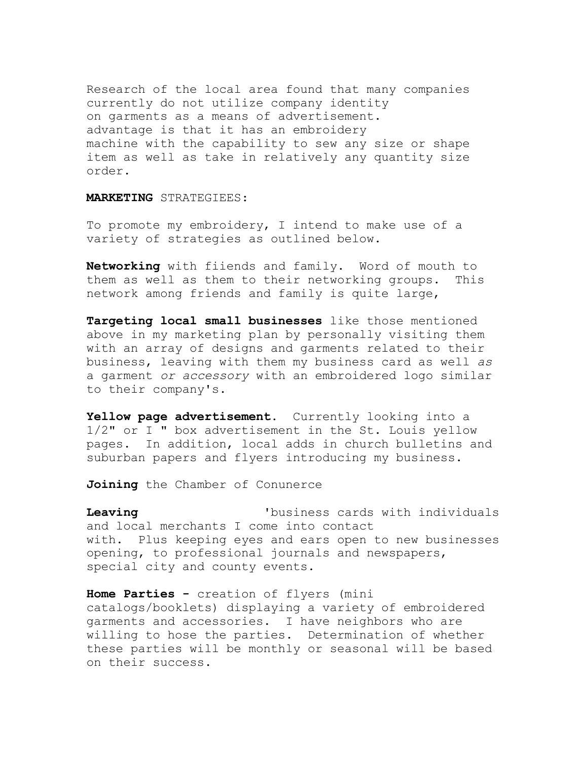Research of the local area found that many companies currently do not utilize company identity on garments as a means of advertisement. advantage is that it has an embroidery machine with the capability to sew any size or shape item as well as take in relatively any quantity size order.

# **MARKETING** STRATEGIEES:

To promote my embroidery, I intend to make use of a variety of strategies as outlined below.

**Networking** with fiiends and family. Word of mouth to them as well as them to their networking groups. This network among friends and family is quite large,

**Targeting local small businesses** like those mentioned above in my marketing plan by personally visiting them with an array of designs and garments related to their business, leaving with them my business card as well *as*  a garment *or accessory* with an embroidered logo similar to their company's.

Yellow page advertisement. Currently looking into a 1/2" or I " box advertisement in the St. Louis yellow pages. In addition, local adds in church bulletins and suburban papers and flyers introducing my business.

**Joining** the Chamber of Conunerce

**Leaving** 'business cards with individuals and local merchants I come into contact with. Plus keeping eyes and ears open to new businesses opening, to professional journals and newspapers, special city and county events.

**Home Parties -** creation of flyers (mini catalogs/booklets) displaying a variety of embroidered garments and accessories. I have neighbors who are willing to hose the parties. Determination of whether these parties will be monthly or seasonal will be based on their success.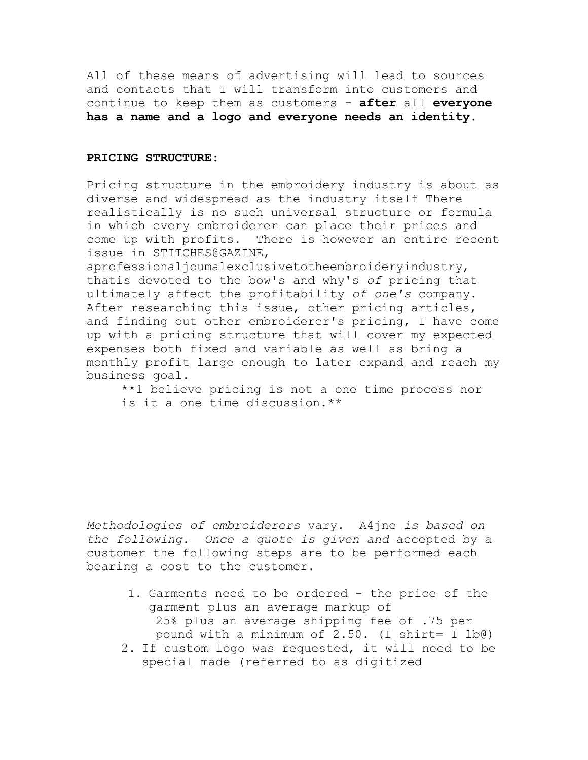All of these means of advertising will lead to sources and contacts that I will transform into customers and continue to keep them as customers - **after** all **everyone has a name and a logo and everyone needs an identity.**

# **PRICING STRUCTURE:**

Pricing structure in the embroidery industry is about as diverse and widespread as the industry itself There realistically is no such universal structure or formula in which every embroiderer can place their prices and come up with profits. There is however an entire recent issue in STITCHES@GAZINE,

aprofessionaljoumalexclusivetotheembroideryindustry, thatis devoted to the bow's and why's *of* pricing that ultimately affect the profitability *of one's* company. After researching this issue, other pricing articles, and finding out other embroiderer's pricing, I have come up with a pricing structure that will cover my expected expenses both fixed and variable as well as bring a monthly profit large enough to later expand and reach my business goal.

\*\*1 believe pricing is not a one time process nor is it a one time discussion.\*\*

*Methodologies of embroiderers* vary. A4jne *is based on the following. Once a quote is given and* accepted by a customer the following steps are to be performed each bearing a cost to the customer.

- 1. Garments need to be ordered the price of the garment plus an average markup of 25% plus an average shipping fee of .75 per pound with a minimum of 2.50. (I shirt= I lb@)
- 2. If custom logo was requested, it will need to be special made (referred to as digitized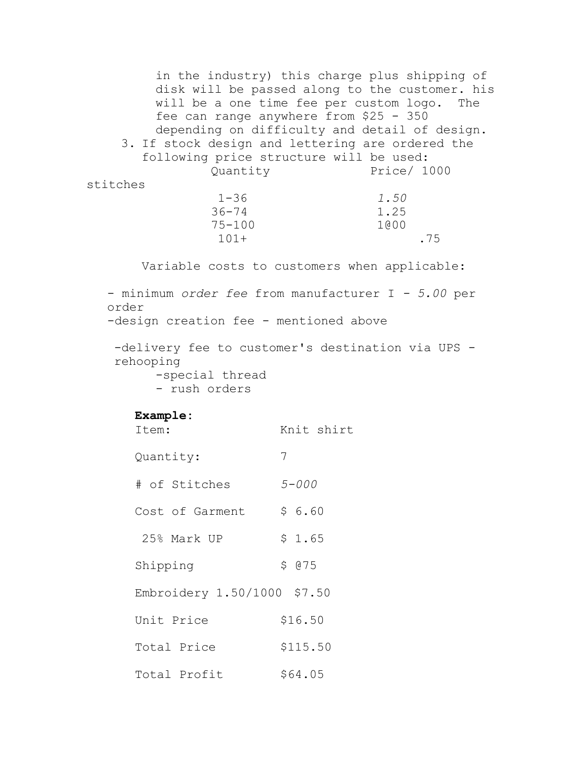in the industry) this charge plus shipping of disk will be passed along to the customer. his will be a one time fee per custom logo. The fee can range anywhere from \$25 - 350 depending on difficulty and detail of design. 3. If stock design and lettering are ordered the following price structure will be used: Quantity Price/ 1000 stitches 1-36 *1.50* 36-74 1.25 75-100 1@00 101+ .75 Variable costs to customers when applicable: - minimum *order fee* from manufacturer I *- 5.00* per order -design creation fee - mentioned above -delivery fee to customer's destination via UPS rehooping -special thread - rush orders **Example:** Item: Knit shirt Quantity: 7 # of Stitches *5-000* Cost of Garment  $$6.60$ 25% Mark UP \$ 1.65 Shipping \$ 075 Embroidery 1.50/1000 \$7.50 Unit Price \$16.50 Total Price \$115.50 Total Profit \$64.05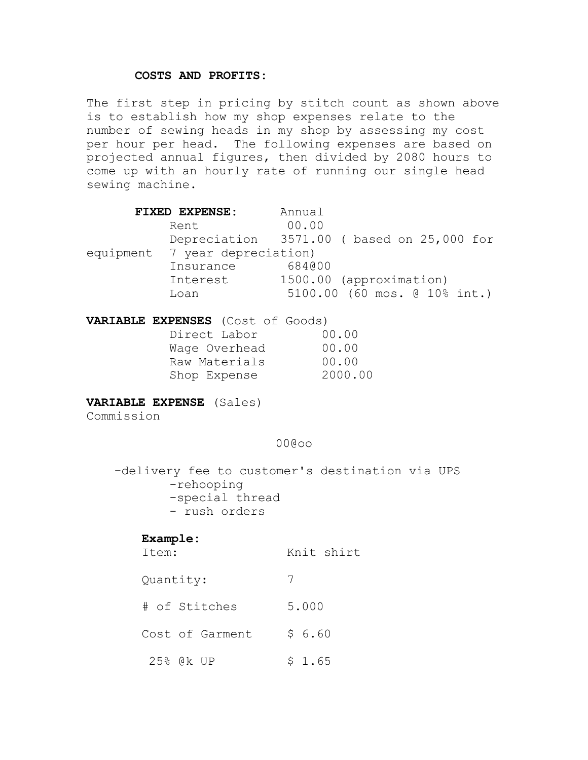# **COSTS AND PROFITS:**

The first step in pricing by stitch count as shown above is to establish how my shop expenses relate to the number of sewing heads in my shop by assessing my cost per hour per head. The following expenses are based on projected annual figures, then divided by 2080 hours to come up with an hourly rate of running our single head sewing machine.

|            | FIXED EXPENSE:                                                                                            | Annual                                                  |
|------------|-----------------------------------------------------------------------------------------------------------|---------------------------------------------------------|
|            | Rent                                                                                                      | 00.00<br>Depreciation 3571.00 (based on 25,000 for      |
|            | equipment 7 year depreciation)<br>Insurance 684000                                                        |                                                         |
|            | Interest<br>Loan                                                                                          | 1500.00 (approximation)<br>5100.00 (60 mos. @ 10% int.) |
|            | VARIABLE EXPENSES (Cost of Goods)<br>Direct Labor<br>Wage Overhead<br>Raw Materials 00.00<br>Shop Expense | 00.00<br>00.00<br>2000.00                               |
| Commission | <b>VARIABLE EXPENSE</b> (Sales)                                                                           |                                                         |
|            |                                                                                                           | 00@00                                                   |

-delivery fee to customer's destination via UPS -rehooping -special thread - rush orders

# **Example:**

| Item:           | Knit shirt |
|-----------------|------------|
| Quantity:       | 7          |
| # of Stitches   | 5.000      |
| Cost of Garment | \$6.60     |
| 25% @k UP       | \$1.65     |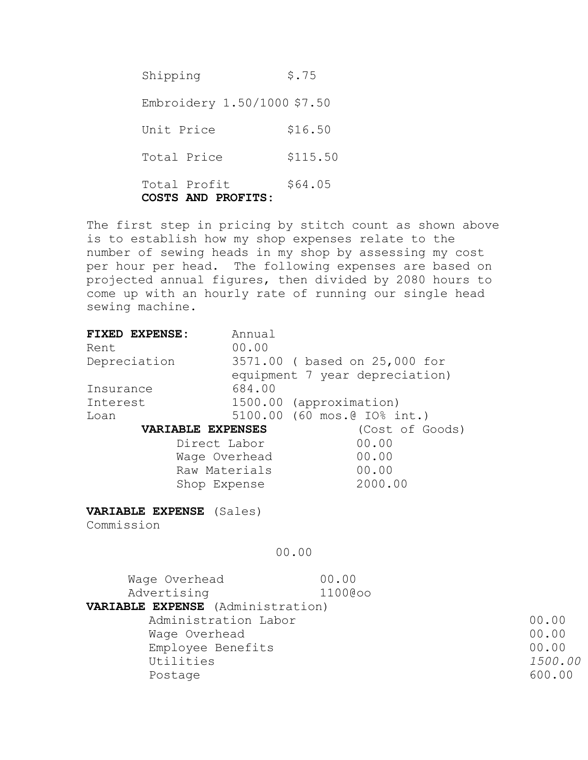Shipping \$.75 Embroidery 1.50/1000 \$7.50 Unit Price \$16.50 Total Price \$115.50 Total Profit \$64.05 **COSTS AND PROFITS:**

The first step in pricing by stitch count as shown above is to establish how my shop expenses relate to the number of sewing heads in my shop by assessing my cost per hour per head. The following expenses are based on projected annual figures, then divided by 2080 hours to come up with an hourly rate of running our single head sewing machine.

| <b>FIXED EXPENSE:</b>             | Annual                         |                 |         |
|-----------------------------------|--------------------------------|-----------------|---------|
| Rent                              | 00.00                          |                 |         |
| Depreciation                      | 3571.00 ( based on 25,000 for  |                 |         |
|                                   | equipment 7 year depreciation) |                 |         |
| Insurance                         | 684.00                         |                 |         |
| Interest                          | 1500.00 (approximation)        |                 |         |
| Loan                              | 5100.00 (60 mos.@ IO% int.)    |                 |         |
| <b>VARIABLE EXPENSES</b>          |                                | (Cost of Goods) |         |
| Direct Labor                      |                                | 00.00           |         |
|                                   | Wage Overhead                  | 00.00           |         |
| Raw Materials                     |                                | 00.00           |         |
| Shop Expense                      |                                | 2000.00         |         |
|                                   |                                |                 |         |
| VARIABLE EXPENSE (Sales)          |                                |                 |         |
| Commission                        |                                |                 |         |
|                                   |                                |                 |         |
|                                   | 00.00                          |                 |         |
|                                   |                                |                 |         |
| Wage Overhead                     | 00.00                          |                 |         |
| Advertising                       | 1100@oo                        |                 |         |
| VARIABLE EXPENSE (Administration) |                                |                 |         |
| Administration Labor              |                                |                 | 00.00   |
| Wage Overhead                     |                                |                 | 00.00   |
| Employee Benefits                 |                                |                 | 00.00   |
| Utilities                         |                                |                 | 1500.00 |
| Postage                           |                                |                 | 600.00  |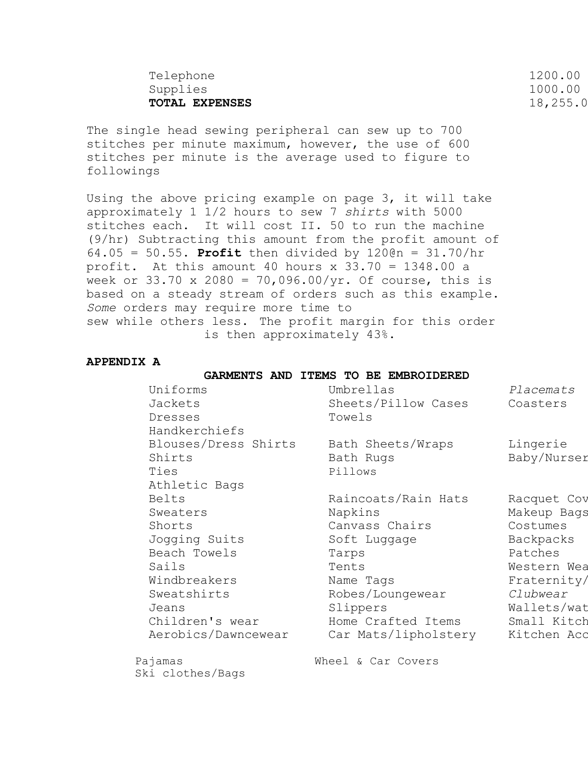| Telephone             | 1200.00  |
|-----------------------|----------|
| Supplies              | 1000.00  |
| <b>TOTAL EXPENSES</b> | 18,255.0 |
|                       |          |

The single head sewing peripheral can sew up to 700 stitches per minute maximum, however, the use of 600 stitches per minute is the average used to figure to followings

Using the above pricing example on page 3, it will take approximately 1 1/2 hours to sew 7 *shirts* with 5000 stitches each. It will cost II. 50 to run the machine (9/hr) Subtracting this amount from the profit amount of 64.05 = 50.55. **Profit** then divided by 120@n = 31.70/hr profit. At this amount 40 hours  $x$  33.70 = 1348.00 a week or 33.70 x 2080 = 70,096.00/yr. Of course, this is based on a steady stream of orders such as this example. *Some* orders may require more time to sew while others less. The profit margin for this order is then approximately 43%.

## **APPENDIX A**

#### **GARMENTS AND ITEMS TO BE EMBROIDERED**

| Uniforms<br>Jackets<br>Dresses<br>Handkerchiefs                                                                                                         | Umbrellas<br>Sheets/Pillow Cases<br>Towels                                                                                                                                    | Placemats<br>Coasters                                                                                                                                 |
|---------------------------------------------------------------------------------------------------------------------------------------------------------|-------------------------------------------------------------------------------------------------------------------------------------------------------------------------------|-------------------------------------------------------------------------------------------------------------------------------------------------------|
| Blouses/Dress Shirts<br>Shirts<br>Ties<br>Athletic Bags                                                                                                 | Bath Sheets/Wraps<br>Bath Rugs<br>Pillows                                                                                                                                     | Lingerie<br>Baby/Nurser                                                                                                                               |
| Belts<br>Sweaters<br>Shorts<br>Jogging Suits<br>Beach Towels<br>Sails<br>Windbreakers<br>Sweatshirts<br>Jeans<br>Children's wear<br>Aerobics/Dawncewear | Raincoats/Rain Hats<br>Napkins<br>Canvass Chairs<br>Soft Luggage<br>Tarps<br>Tents<br>Name Tags<br>Robes/Loungewear<br>Slippers<br>Home Crafted Items<br>Car Mats/lipholstery | Racquet Cov<br>Makeup Bags<br>Costumes<br>Backpacks<br>Patches<br>Western Wea<br>Fraternity/<br>Clubwear<br>Wallets/wat<br>Small Kitch<br>Kitchen Acc |
| Pajamas<br>Ski clothes/Bags                                                                                                                             | Wheel & Car Covers                                                                                                                                                            |                                                                                                                                                       |